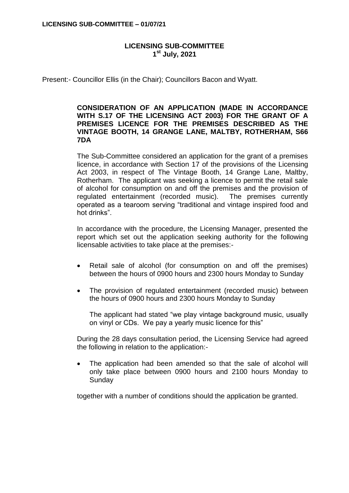## **LICENSING SUB-COMMITTEE 1 st July, 2021**

Present:- Councillor Ellis (in the Chair); Councillors Bacon and Wyatt.

## **CONSIDERATION OF AN APPLICATION (MADE IN ACCORDANCE WITH S.17 OF THE LICENSING ACT 2003) FOR THE GRANT OF A PREMISES LICENCE FOR THE PREMISES DESCRIBED AS THE VINTAGE BOOTH, 14 GRANGE LANE, MALTBY, ROTHERHAM, S66 7DA**

The Sub-Committee considered an application for the grant of a premises licence, in accordance with Section 17 of the provisions of the Licensing Act 2003, in respect of The Vintage Booth, 14 Grange Lane, Maltby, Rotherham. The applicant was seeking a licence to permit the retail sale of alcohol for consumption on and off the premises and the provision of regulated entertainment (recorded music). The premises currently operated as a tearoom serving "traditional and vintage inspired food and hot drinks".

In accordance with the procedure, the Licensing Manager, presented the report which set out the application seeking authority for the following licensable activities to take place at the premises:-

- Retail sale of alcohol (for consumption on and off the premises) between the hours of 0900 hours and 2300 hours Monday to Sunday
- The provision of regulated entertainment (recorded music) between the hours of 0900 hours and 2300 hours Monday to Sunday

The applicant had stated "we play vintage background music, usually on vinyl or CDs. We pay a yearly music licence for this"

During the 28 days consultation period, the Licensing Service had agreed the following in relation to the application:-

 The application had been amended so that the sale of alcohol will only take place between 0900 hours and 2100 hours Monday to Sunday

together with a number of conditions should the application be granted.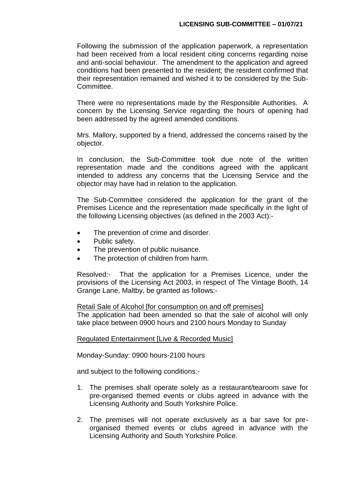Following the submission of the application paperwork, a representation had been received from a local resident citing concerns regarding noise and anti-social behaviour. The amendment to the application and agreed conditions had been presented to the resident; the resident confirmed that their representation remained and wished it to be considered by the Sub-Committee.

There were no representations made by the Responsible Authorities. A concern by the Licensing Service regarding the hours of opening had been addressed by the agreed amended conditions.

Mrs. Mallory, supported by a friend, addressed the concerns raised by the objector.

In conclusion, the Sub-Committee took due note of the written representation made and the conditions agreed with the applicant intended to address any concerns that the Licensing Service and the objector may have had in relation to the application.

The Sub-Committee considered the application for the grant of the Premises Licence and the representation made specifically in the light of the following Licensing objectives (as defined in the 2003 Act):-

- The prevention of crime and disorder.
- Public safety.
- The prevention of public nuisance.
- The protection of children from harm.

Resolved:- That the application for a Premises Licence, under the provisions of the Licensing Act 2003, in respect of The Vintage Booth, 14 Grange Lane, Maltby, be granted as follows:-

## Retail Sale of Alcohol [for consumption on and off premises]

The application had been amended so that the sale of alcohol will only take place between 0900 hours and 2100 hours Monday to Sunday

## Regulated Entertainment [Live & Recorded Music]

Monday-Sunday: 0900 hours-2100 hours

and subject to the following conditions:-

- 1. The premises shall operate solely as a restaurant/tearoom save for pre-organised themed events or clubs agreed in advance with the Licensing Authority and South Yorkshire Police.
- 2. The premises will not operate exclusively as a bar save for preorganised themed events or clubs agreed in advance with the Licensing Authority and South Yorkshire Police.